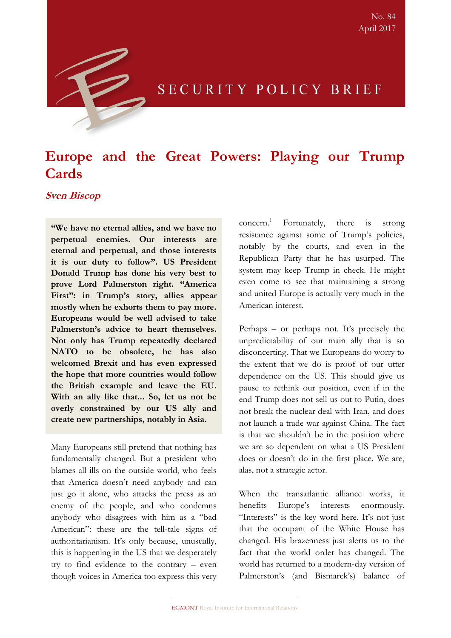

## SECURITY POLICY BRIEF

# **Europe and the Great Powers: Playing our Trump Cards**

## **Sven Biscop**

**"We have no eternal allies, and we have no perpetual enemies. Our interests are eternal and perpetual, and those interests it is our duty to follow". US President Donald Trump has done his very best to prove Lord Palmerston right. "America First": in Trump's story, allies appear mostly when he exhorts them to pay more. Europeans would be well advised to take Palmerston's advice to heart themselves. Not only has Trump repeatedly declared NATO to be obsolete, he has also welcomed Brexit and has even expressed the hope that more countries would follow the British example and leave the EU. With an ally like that... So, let us not be overly constrained by our US ally and create new partnerships, notably in Asia.** 

Many Europeans still pretend that nothing has fundamentally changed. But a president who blames all ills on the outside world, who feels that America doesn't need anybody and can just go it alone, who attacks the press as an enemy of the people, and who condemns anybody who disagrees with him as a "bad American": these are the tell-tale signs of authoritarianism. It's only because, unusually, this is happening in the US that we desperately try to find evidence to the contrary – even though voices in America too express this very  $concern.<sup>1</sup>$  Fortunately, there is strong resistance against some of Trump's policies, notably by the courts, and even in the Republican Party that he has usurped. The system may keep Trump in check. He might even come to see that maintaining a strong and united Europe is actually very much in the American interest.

Perhaps – or perhaps not. It's precisely the unpredictability of our main ally that is so disconcerting. That we Europeans do worry to the extent that we do is proof of our utter dependence on the US. This should give us pause to rethink our position, even if in the end Trump does not sell us out to Putin, does not break the nuclear deal with Iran, and does not launch a trade war against China. The fact is that we shouldn't be in the position where we are so dependent on what a US President does or doesn't do in the first place. We are, alas, not a strategic actor.

When the transatlantic alliance works, it benefits Europe's interests enormously. "Interests" is the key word here. It's not just that the occupant of the White House has changed. His brazenness just alerts us to the fact that the world order has changed. The world has returned to a modern-day version of Palmerston's (and Bismarck's) balance of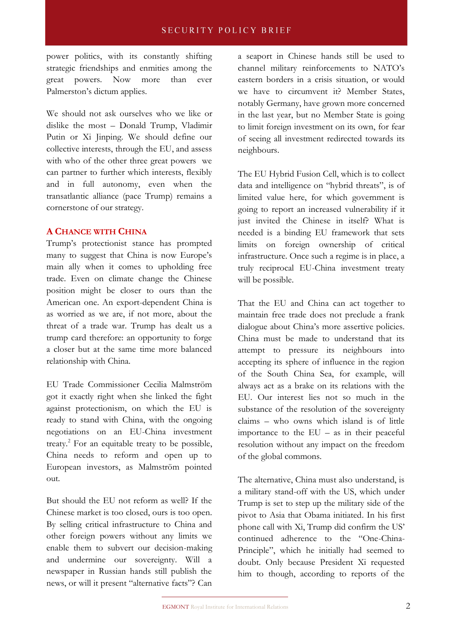power politics, with its constantly shifting strategic friendships and enmities among the great powers. Now more than ever Palmerston's dictum applies.

We should not ask ourselves who we like or dislike the most – Donald Trump, Vladimir Putin or Xi Jinping. We should define our collective interests, through the EU, and assess with who of the other three great powers we can partner to further which interests, flexibly and in full autonomy, even when the transatlantic alliance (pace Trump) remains a cornerstone of our strategy.

## **A CHANCE WITH CHINA**

Trump's protectionist stance has prompted many to suggest that China is now Europe's main ally when it comes to upholding free trade. Even on climate change the Chinese position might be closer to ours than the American one. An export-dependent China is as worried as we are, if not more, about the threat of a trade war. Trump has dealt us a trump card therefore: an opportunity to forge a closer but at the same time more balanced relationship with China.

EU Trade Commissioner Cecilia Malmström got it exactly right when she linked the fight against protectionism, on which the EU is ready to stand with China, with the ongoing negotiations on an EU-China investment treaty.<sup>2</sup> For an equitable treaty to be possible, China needs to reform and open up to European investors, as Malmström pointed out.

But should the EU not reform as well? If the Chinese market is too closed, ours is too open. By selling critical infrastructure to China and other foreign powers without any limits we enable them to subvert our decision-making and undermine our sovereignty. Will a newspaper in Russian hands still publish the news, or will it present "alternative facts"? Can a seaport in Chinese hands still be used to channel military reinforcements to NATO's eastern borders in a crisis situation, or would we have to circumvent it? Member States, notably Germany, have grown more concerned in the last year, but no Member State is going to limit foreign investment on its own, for fear of seeing all investment redirected towards its neighbours.

The EU Hybrid Fusion Cell, which is to collect data and intelligence on "hybrid threats", is of limited value here, for which government is going to report an increased vulnerability if it just invited the Chinese in itself? What is needed is a binding EU framework that sets limits on foreign ownership of critical infrastructure. Once such a regime is in place, a truly reciprocal EU-China investment treaty will be possible.

That the EU and China can act together to maintain free trade does not preclude a frank dialogue about China's more assertive policies. China must be made to understand that its attempt to pressure its neighbours into accepting its sphere of influence in the region of the South China Sea, for example, will always act as a brake on its relations with the EU. Our interest lies not so much in the substance of the resolution of the sovereignty claims – who owns which island is of little importance to the  $EU - as$  in their peaceful resolution without any impact on the freedom of the global commons.

The alternative, China must also understand, is a military stand-off with the US, which under Trump is set to step up the military side of the pivot to Asia that Obama initiated. In his first phone call with Xi, Trump did confirm the US' continued adherence to the "One-China-Principle", which he initially had seemed to doubt. Only because President Xi requested him to though, according to reports of the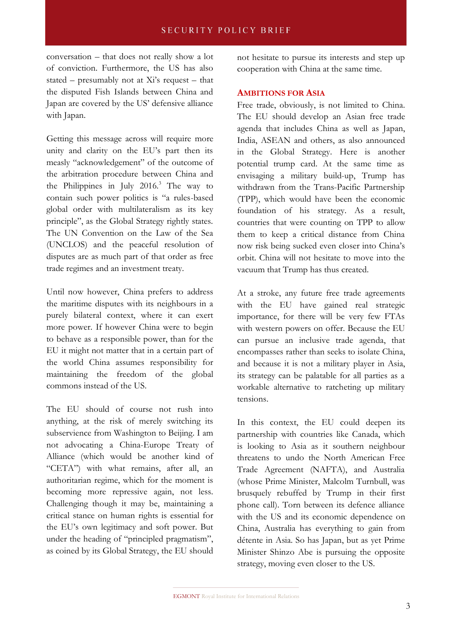conversation – that does not really show a lot of conviction. Furthermore, the US has also stated – presumably not at  $Xi's$  request – that the disputed Fish Islands between China and Japan are covered by the US' defensive alliance with Japan.

Getting this message across will require more unity and clarity on the EU's part then its measly "acknowledgement" of the outcome of the arbitration procedure between China and the Philippines in July  $2016<sup>3</sup>$  The way to contain such power politics is "a rules-based global order with multilateralism as its key principle", as the Global Strategy rightly states. The UN Convention on the Law of the Sea (UNCLOS) and the peaceful resolution of disputes are as much part of that order as free trade regimes and an investment treaty.

Until now however, China prefers to address the maritime disputes with its neighbours in a purely bilateral context, where it can exert more power. If however China were to begin to behave as a responsible power, than for the EU it might not matter that in a certain part of the world China assumes responsibility for maintaining the freedom of the global commons instead of the US.

The EU should of course not rush into anything, at the risk of merely switching its subservience from Washington to Beijing. I am not advocating a China-Europe Treaty of Alliance (which would be another kind of "CETA") with what remains, after all, an authoritarian regime, which for the moment is becoming more repressive again, not less. Challenging though it may be, maintaining a critical stance on human rights is essential for the EU's own legitimacy and soft power. But under the heading of "principled pragmatism", as coined by its Global Strategy, the EU should

not hesitate to pursue its interests and step up cooperation with China at the same time.

## **AMBITIONS FOR ASIA**

Free trade, obviously, is not limited to China. The EU should develop an Asian free trade agenda that includes China as well as Japan, India, ASEAN and others, as also announced in the Global Strategy. Here is another potential trump card. At the same time as envisaging a military build-up, Trump has withdrawn from the Trans-Pacific Partnership (TPP), which would have been the economic foundation of his strategy. As a result, countries that were counting on TPP to allow them to keep a critical distance from China now risk being sucked even closer into China's orbit. China will not hesitate to move into the vacuum that Trump has thus created.

At a stroke, any future free trade agreements with the EU have gained real strategic importance, for there will be very few FTAs with western powers on offer. Because the EU can pursue an inclusive trade agenda, that encompasses rather than seeks to isolate China, and because it is not a military player in Asia, its strategy can be palatable for all parties as a workable alternative to ratcheting up military tensions.

In this context, the EU could deepen its partnership with countries like Canada, which is looking to Asia as it southern neighbour threatens to undo the North American Free Trade Agreement (NAFTA), and Australia (whose Prime Minister, Malcolm Turnbull, was brusquely rebuffed by Trump in their first phone call). Torn between its defence alliance with the US and its economic dependence on China, Australia has everything to gain from détente in Asia. So has Japan, but as yet Prime Minister Shinzo Abe is pursuing the opposite strategy, moving even closer to the US.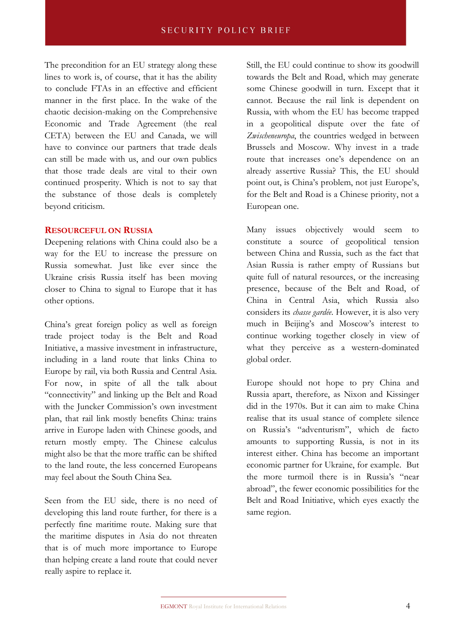The precondition for an EU strategy along these lines to work is, of course, that it has the ability to conclude FTAs in an effective and efficient manner in the first place. In the wake of the chaotic decision-making on the Comprehensive Economic and Trade Agreement (the real CETA) between the EU and Canada, we will have to convince our partners that trade deals can still be made with us, and our own publics that those trade deals are vital to their own continued prosperity. Which is not to say that the substance of those deals is completely beyond criticism.

#### **RESOURCEFUL ON RUSSIA**

Deepening relations with China could also be a way for the EU to increase the pressure on Russia somewhat. Just like ever since the Ukraine crisis Russia itself has been moving closer to China to signal to Europe that it has other options.

China's great foreign policy as well as foreign trade project today is the Belt and Road Initiative, a massive investment in infrastructure, including in a land route that links China to Europe by rail, via both Russia and Central Asia. For now, in spite of all the talk about "connectivity" and linking up the Belt and Road with the Juncker Commission's own investment plan, that rail link mostly benefits China: trains arrive in Europe laden with Chinese goods, and return mostly empty. The Chinese calculus might also be that the more traffic can be shifted to the land route, the less concerned Europeans may feel about the South China Sea.

Seen from the EU side, there is no need of developing this land route further, for there is a perfectly fine maritime route. Making sure that the maritime disputes in Asia do not threaten that is of much more importance to Europe than helping create a land route that could never really aspire to replace it.

Still, the EU could continue to show its goodwill towards the Belt and Road, which may generate some Chinese goodwill in turn. Except that it cannot. Because the rail link is dependent on Russia, with whom the EU has become trapped in a geopolitical dispute over the fate of *Zwischeneuropa*, the countries wedged in between Brussels and Moscow. Why invest in a trade route that increases one's dependence on an already assertive Russia? This, the EU should point out, is China's problem, not just Europe's, for the Belt and Road is a Chinese priority, not a European one.

Many issues objectively would seem to constitute a source of geopolitical tension between China and Russia, such as the fact that Asian Russia is rather empty of Russians but quite full of natural resources, or the increasing presence, because of the Belt and Road, of China in Central Asia, which Russia also considers its *chasse gardée*. However, it is also very much in Beijing's and Moscow's interest to continue working together closely in view of what they perceive as a western-dominated global order.

Europe should not hope to pry China and Russia apart, therefore, as Nixon and Kissinger did in the 1970s. But it can aim to make China realise that its usual stance of complete silence on Russia's "adventurism", which de facto amounts to supporting Russia, is not in its interest either. China has become an important economic partner for Ukraine, for example. But the more turmoil there is in Russia's "near abroad", the fewer economic possibilities for the Belt and Road Initiative, which eyes exactly the same region.